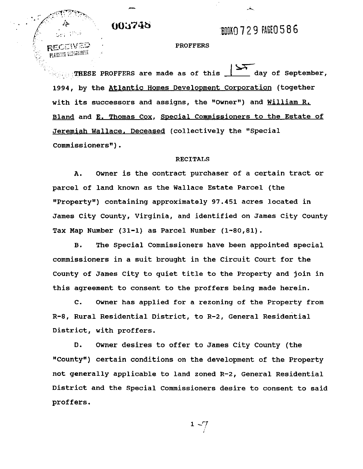003748

**ROOK0729 PAGE0586** 

### **PROFFERS**

 $\frac{1}{2}$  are made as of this  $\frac{1}{2}$  day of September, 1994, by the Atlantic Homes Development Corporation (together with its successors and assigns, the "Owner") and William R. Bland and E. Thomas Cox, Special Commissioners to the Estate of Jeremiah Wallace. Deceased (collectively the "Special Commissioners").

#### RECITALS

**A.** Owner is the contract purchaser of a certain tract or parcel of land known as the Wallace Estate Parcel (the IfPropertyff) containing approximately 97.451 acres located in James City County, Virginia, and identified on James City County Tax Map Number (31-1) as Parcel Number (1-80,81).

B. The Special Commissioners have been appointed special commissioners in a suit brought in the Circuit Court for the County of James City to quiet title to the Property and join in this agreement to consent to the proffers being made herein.

C. Owner has applied for a rezoning of the Property from  $R-8$ , Rural Residential District, to R-2, General Residential District, with proffers.

D. Owner desires to offer to James City County (the "County") certain conditions on the development of the Property not generally applicable to land zoned R-2, General Residential District and the Special Commissioners desire to consent to said proffers.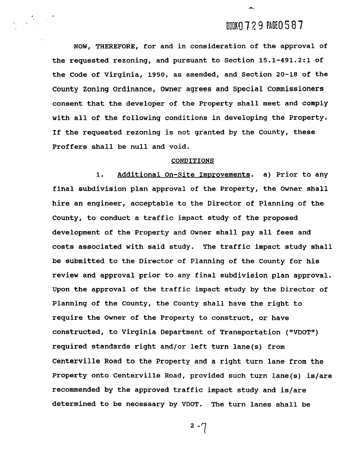# BOOKO 729 PAGE 0587

NOW, THEREFORE, for and in consideration of the approval of the requested rezoning, and pursuant to Section **15.1-491.2:l** of the Code of Virginia, **1950,** as amended, and Section **20-18** of the County Zoning Ordinance, Owner agrees and Special Commissioners consent that the developer of the Property shall meet and comply with all of the following conditions in developing the Property. If the requested rezoning is not granted by the County, these Proffers shall be null and void.

#### CONDITIONS

1. Additional On-Site Improvements. a) Prior to any final subdivision plan approval of the Property, the Owner shall hire an engineer, acceptable to the Director of Planning of the County, to conduct a traffic impact study of the proposed development of the Property and Owner shall pay all fees and costs associated with said study. The traffic impact study shall be submitted to the Director of Planning of the County for his review and approval prior to any final subdivision plan approval. Upon the approval of the traffic impact study by the Director of Planning of the County, the County shall have the right to require the Owner of the Property to construct, or have constructed, to Virginia Department of Transportation ("VDOT") required standards right and/or left turn lane(s) from Centerville Road to the Property and a right turn lane from the Property onto Centerville Road, provided such turn lane(s) is/are recommended by the approved traffic impact study and is/are determined to be necessary by VDOT. The turn lanes shall be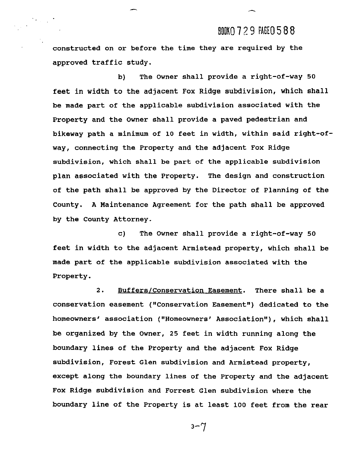### BOOK0729 PAGE0588

constructed on or before the time they are required by the approved traffic study.

b) The Owner shall provide a right-of-way **50**  feet in width to the adjacent Fox Ridge subdivision, which shall be made part of the applicable subdivision associated with the Property and the Owner shall provide a paved pedestrian and bikeway path a minimum of **10** feet in width, within said right-ofway, connecting the Property and the adjacent Fox Ridge subdivision, which shall be part of the applicable subdivision plan associated with the Property. The design and construction of the path shall be approved by the Director of Planning of the County. A Maintenance Agreement for the path shall be approved by the County Attorney.

c) The Owner shall provide a right-of-way **50**  feet in width to the adjacent Armistead property, which shall be made part of the applicable subdivision associated with the Property.

2. Buffers/Conservation Easement. There shall be a conservation easement ("Conservation Easement") dedicated to the homeowners' association ("Homeowners' Association"), which shall be organized by the Owner, 25 feet in width running along the boundary lines of the Property and the adjacent Fox Ridge subdivision, Forest Glen subdivision and Armistead property, except along the boundary lines of the Property and the adjacent Fox Ridge subdivision and Forrest Glen subdivision where the boundary line of the Property is at least **100** feet from the rear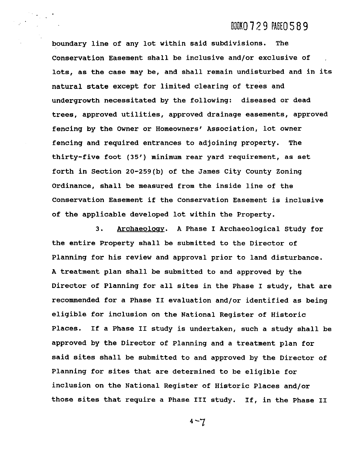### DOOKO 729 PAGE 0589

boundary line of any lot within said subdivisions. The Conservation Easement shall be inclusive and/or exclusive of , lots, as the case may be, and shall remain undisturbed and in its natural state except for limited clearing of trees and undergrowth necessitated by the following: diseased or dead trees, approved utilities, approved drainage easements, approved fencing by the Owner or Homeowners' Association, lot owner fencing and required entrances to adjoining property. The thirty-five foot **(35')** minimum rear yard requirement, as set forth in Section 20-259(b) of the James City County Zoning Ordinance, shall be measured from the inside line of the Conservation Easement if the Conservation Easement is inclusive of the applicable developed lot within the Property.

3. Archaeology. A Phase I Archaeological Study for the entire Property shall be submitted to the Director of Planning for his review and approval prior to land disturbance. A treatment plan shall be submitted to and approved by the Director of Planning for all sites in the Phase I study, that are recommended for a Phase I1 evaluation and/or identified as being eligible for inclusion on the National Register of Historic Places. If a Phase I1 study is undertaken, such a study shall be approved by the Director of Planning and a treatment plan for said sites shall be submitted to and approved by the Director of Planning for sites that are determined to be eligible for inclusion on the National Register of Historic Places and/or those sites that require a Phase I11 study. If, in the Phase 11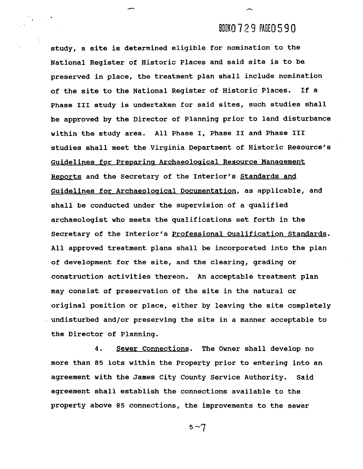# BOOKO 729 PAGEO 590

study, a site is determined eligible for nomination to the National Register of Historic Places and said site is to be preserved in place, the treatment plan shall include nomination of the site to the National Register of Historic Places. If a Phase I11 study is undertaken for said sites, such studies shall be approved by the Director of Planning prior to land disturbance within the study area. All Phase I, Phase I1 and Phase I11 studies shall meet the Virginia Department of Historic Resource's Guidelines for Preparing Archaeological Resource Management Reports and the Secretary of the Interior's Standards and Guidelines for Archaeological Documentation, as applicable, and shall be conducted under the supervision of a qualified archaeologist who meets the qualifications set forth in the Secretary of the Interior's Professional Oualification Standards. All approved treatment plane shall be incorporated into the plan of development for the site, and the clearing, grading or construction activities thereon. An acceptable treatment plan may consist of preservation of the site in the natural or original position or place, either by leaving the site completely undisturbed and/or preserving the site in a manner acceptable to the Director of Planning.

 $\mathcal{M}_{\rm{max}}$ 

4. Sewer Connections. The Owner shall develop no more than **85** lots within the Property prior to entering into an agreement with the James City County Service Authority. Said agreement shall establish the connections available to the property above **85** connections, the improvements to the sewer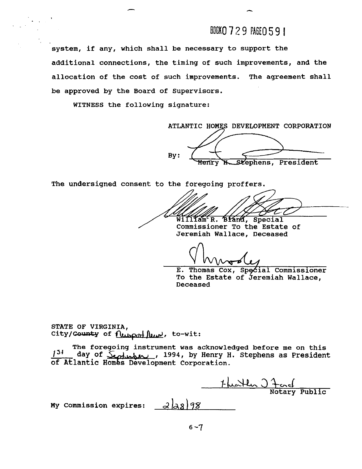## BDOKO  $729$  PAGEO 591

system, if any, which shall be necessary to support the additional connections, the timing of such improvements, and the allocation of the cost of such improvements. The agreement shall be approved by the Board of Supervisors.

WITNESS the following signature:

ATLANTIC HOMES DEVELOPMENT CORPORATION By: Stephens, President

The undersigned consent to the foregoing proffers.

 $\widetilde{\text{Wil111am}}$ <sup>c</sup> R. Bland, Special Commissioner To the Estate of

Jeremiah Wallace, Deceased

Vhuody

E. Thomas Cox, Special Commissioner To the Estate of Jeremiah Wallace, Deceased

STATE OF VIRGINIA, City/County of  $\lim_{x \to 0}$   $\lim_{x \to \infty}$ , to-wit:

The foregoing instrument was acknowledged before me on this day of <u>Secheman , 1994</u>, by Henry H. Stephens as President of Atlantic Homes Development Corporation.

1- Wartler 27 and

Notary Public

My Commission expires:  $\frac{\partial}{\partial 8}$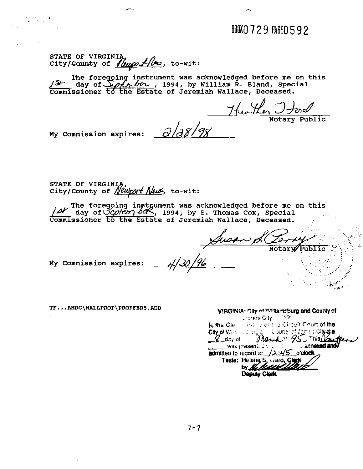BOOKO 729 PAGEO 592

STATE OF VIRGINIA,<br>City/County of *Yuugodilles*, to-wit:

**was acknowledged before me on this** , **1994, by William R. Bland, Special Jeremiah Wallace, Deceased.** 

 $2/28/98$ 

Heather J tone

**My Commission expires:** 

**STATE OF** VIRGIN STATE OF VIRGINIA,<br>City/County of *Newport New*s, to-wit:

**The foregoing instrument was acknowledged before me on this**  $\frac{1}{N}$  **day of**  $\frac{1}{2}$  **day**  $\frac{1}{2}$  **and**  $\frac{1}{2}$  **and**  $\frac{1}{2}$  **and**  $\frac{1}{2}$  **and**  $\frac{1}{2}$  **and**  $\frac{1}{2}$  **and**  $\frac{1}{2}$  **and**  $\frac{1}{2}$  **and**  $\frac{1}{2}$  **and \frac{ Commissioner to the Estate of Jeremiah Wallace, Deceased.** 

Susano Public

My Commission expires:

TF...AHDC\WALLPROP\PROFFER5.AHD

| VIRGINIA: City of Williamsburg and County of<br>James City, 17591 |
|-------------------------------------------------------------------|
|                                                                   |
| In the Cle. It office of the Circuit Court of the                 |
|                                                                   |
| City of Williams and injuries County of James City the            |
| was presented that the companies and the                          |
| admitted to record at $\sqrt{\lambda_1/45}$ o'clock               |
| Teste: Heleng S, ward, Clerk                                      |
| by Killedella                                                     |
| Deputy CI                                                         |